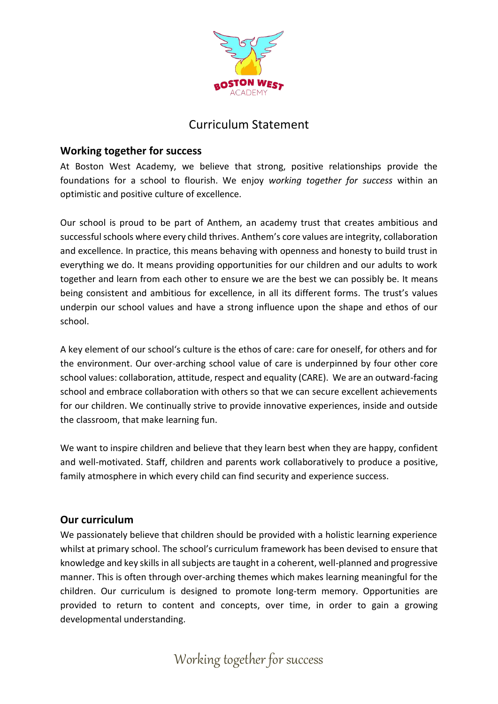

## **Working together for success**

At Boston West Academy, we believe that strong, positive relationships provide the foundations for a school to flourish. We enjoy *working together for success* within an optimistic and positive culture of excellence.

Our school is proud to be part of Anthem, an academy trust that creates ambitious and successful schools where every child thrives. Anthem's core values are integrity, collaboration and excellence. In practice, this means behaving with openness and honesty to build trust in everything we do. It means providing opportunities for our children and our adults to work together and learn from each other to ensure we are the best we can possibly be. It means being consistent and ambitious for excellence, in all its different forms. The trust's values underpin our school values and have a strong influence upon the shape and ethos of our school.

A key element of our school's culture is the ethos of care: care for oneself, for others and for the environment. Our over-arching school value of care is underpinned by four other core school values: collaboration, attitude, respect and equality (CARE). We are an outward-facing school and embrace collaboration with others so that we can secure excellent achievements for our children. We continually strive to provide innovative experiences, inside and outside the classroom, that make learning fun.

We want to inspire children and believe that they learn best when they are happy, confident and well-motivated. Staff, children and parents work collaboratively to produce a positive, family atmosphere in which every child can find security and experience success.

## **Our curriculum**

We passionately believe that children should be provided with a holistic learning experience whilst at primary school. The school's curriculum framework has been devised to ensure that knowledge and key skills in all subjects are taught in a coherent, well-planned and progressive manner. This is often through over-arching themes which makes learning meaningful for the children. Our curriculum is designed to promote long-term memory. Opportunities are provided to return to content and concepts, over time, in order to gain a growing developmental understanding.

Working together for success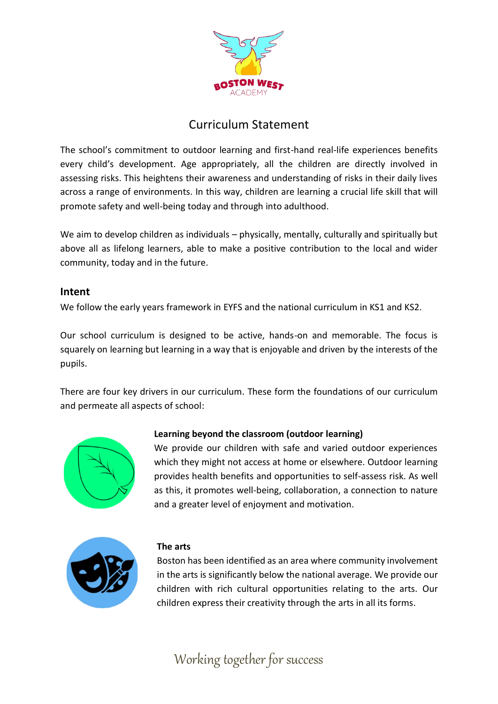

The school's commitment to outdoor learning and first-hand real-life experiences benefits every child's development. Age appropriately, all the children are directly involved in assessing risks. This heightens their awareness and understanding of risks in their daily lives across a range of environments. In this way, children are learning a crucial life skill that will promote safety and well-being today and through into adulthood.

We aim to develop children as individuals – physically, mentally, culturally and spiritually but above all as lifelong learners, able to make a positive contribution to the local and wider community, today and in the future.

## **Intent**

We follow the early years framework in EYFS and the national curriculum in KS1 and KS2.

Our school curriculum is designed to be active, hands-on and memorable. The focus is squarely on learning but learning in a way that is enjoyable and driven by the interests of the pupils.

There are four key drivers in our curriculum. These form the foundations of our curriculum and permeate all aspects of school:



## **Learning beyond the classroom (outdoor learning)**

We provide our children with safe and varied outdoor experiences which they might not access at home or elsewhere. Outdoor learning provides health benefits and opportunities to self-assess risk. As well as this, it promotes well-being, collaboration, a connection to nature and a greater level of enjoyment and motivation.



#### **The arts**

Boston has been identified as an area where community involvement in the arts is significantly below the national average. We provide our children with rich cultural opportunities relating to the arts. Our children express their creativity through the arts in all its forms.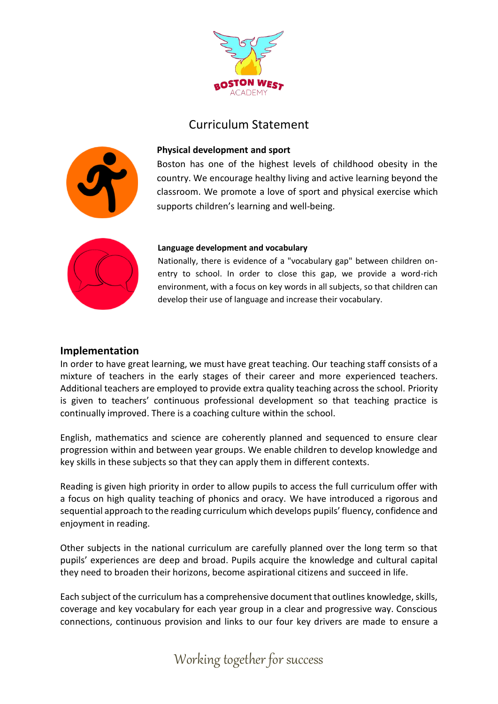



#### **Physical development and sport**

Boston has one of the highest levels of childhood obesity in the country. We encourage healthy living and active learning beyond the classroom. We promote a love of sport and physical exercise which supports children's learning and well-being.



#### **Language development and vocabulary**

Nationally, there is evidence of a "vocabulary gap" between children onentry to school. In order to close this gap, we provide a word-rich environment, with a focus on key words in all subjects, so that children can develop their use of language and increase their vocabulary.

#### **Implementation**

In order to have great learning, we must have great teaching. Our teaching staff consists of a mixture of teachers in the early stages of their career and more experienced teachers. Additional teachers are employed to provide extra quality teaching across the school. Priority is given to teachers' continuous professional development so that teaching practice is continually improved. There is a coaching culture within the school.

English, mathematics and science are coherently planned and sequenced to ensure clear progression within and between year groups. We enable children to develop knowledge and key skills in these subjects so that they can apply them in different contexts.

Reading is given high priority in order to allow pupils to access the full curriculum offer with a focus on high quality teaching of phonics and oracy. We have introduced a rigorous and sequential approach to the reading curriculum which develops pupils' fluency, confidence and enjoyment in reading.

Other subjects in the national curriculum are carefully planned over the long term so that pupils' experiences are deep and broad. Pupils acquire the knowledge and cultural capital they need to broaden their horizons, become aspirational citizens and succeed in life.

Each subject of the curriculum has a comprehensive document that outlines knowledge, skills, coverage and key vocabulary for each year group in a clear and progressive way. Conscious connections, continuous provision and links to our four key drivers are made to ensure a

Working together for success